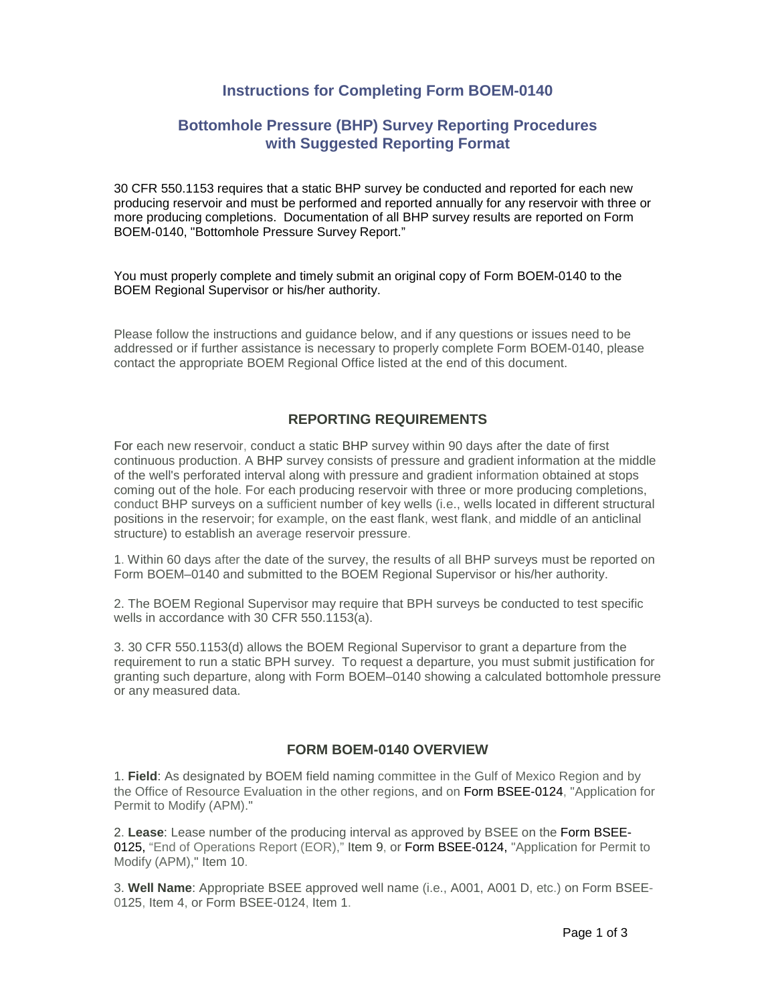## **Instructions for Completing Form BOEM-0140**

## **Bottomhole Pressure (BHP) Survey Reporting Procedures with Suggested Reporting Format**

30 CFR 550.1153 requires that a static BHP survey be conducted and reported for each new producing reservoir and must be performed and reported annually for any reservoir with three or more producing completions. Documentation of all BHP survey results are reported on Form BOEM-0140, "Bottomhole Pressure Survey Report."

You must properly complete and timely submit an original copy of [Form BOEM-0140](http://boem.gov/About-BOEM/Procurement-Business-Opportunities/BOEM-OCS-Operation-Forms/BOEM-0140.aspx) to the BOEM Regional Supervisor or his/her authority.

Please follow the instructions and guidance below, and if any questions or issues need to be addressed or if further assistance is necessary to properly complete Form BOEM-0140, please contact the appropriate BOEM Regional Office listed at the end of this document.

### **REPORTING REQUIREMENTS**

For each new reservoir, conduct a static BHP survey within 90 days after the date of first continuous production. A BHP survey consists of pressure and gradient information at the middle of the well's perforated interval along with pressure and gradient information obtained at stops coming out of the hole. For each producing reservoir with three or more producing completions, conduct BHP surveys on a sufficient number of key wells (i.e., wells located in different structural positions in the reservoir; for example, on the east flank, west flank, and middle of an anticlinal structure) to establish an average reservoir pressure.

1. Within 60 days after the date of the survey, the results of all BHP surveys must be reported on Form BOEM–0140 and submitted to the BOEM Regional Supervisor or his/her authority.

2. The BOEM Regional Supervisor may require that BPH surveys be conducted to test specific wells in accordance with 30 CFR 550.1153(a).

3. 30 CFR 550.1153(d) allows the BOEM Regional Supervisor to grant a departure from the requirement to run a static BPH survey. To request a departure, you must submit justification for granting such departure, along with Form BOEM–0140 showing a calculated bottomhole pressure or any measured data.

#### **FORM BOEM-0140 OVERVIEW**

1. **Field**: As designated by BOEM field naming committee in the Gulf of Mexico Region and by the Office of Resource Evaluation in the other regions, and on Form BSEE-0124, "Application for Permit to Modify (APM)."

2. **Lease**: Lease number of the producing interval as approved by BSEE on the Form BSEE-0125, "End of Operations Report (EOR)," Item 9, or Form BSEE-0124, "Application for Permit to Modify (APM)," Item 10.

3. **Well Name**: Appropriate BSEE approved well name (i.e., A001, A001 D, etc.) on Form BSEE-0125, Item 4, or Form BSEE-0124, Item 1.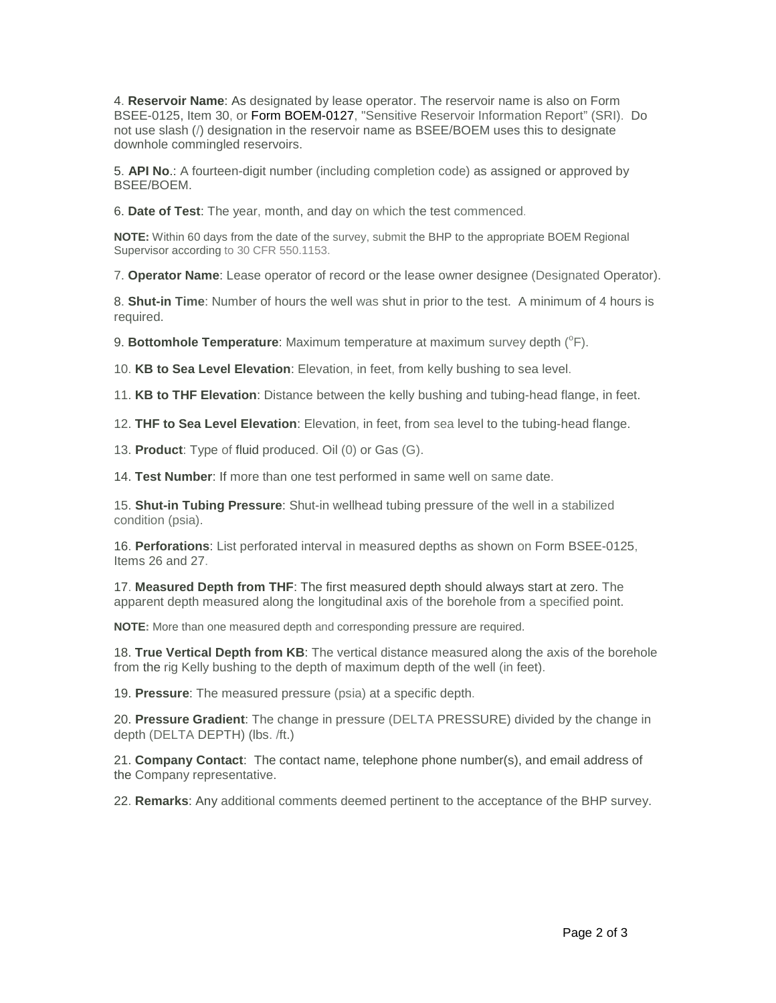4. **Reservoir Name**: As designated by lease operator. The reservoir name is also on Form BSEE-0125, Item 30, or Form BOEM-0127, "Sensitive Reservoir Information Report" (SRI). Do not use slash (/) designation in the reservoir name as BSEE/BOEM uses this to designate downhole commingled reservoirs.

5. **API No**.: A fourteen-digit number (including completion code) as assigned or approved by BSEE/BOEM.

6. **Date of Test**: The year, month, and day on which the test commenced.

**NOTE:** Within 60 days from the date of the survey, submit the BHP to the appropriate BOEM Regional Supervisor according to 30 CFR 550.1153.

7. **Operator Name**: Lease operator of record or the lease owner designee (Designated Operator).

8. **Shut-in Time**: Number of hours the well was shut in prior to the test. A minimum of 4 hours is required.

9. Bottomhole Temperature: Maximum temperature at maximum survey depth (<sup>°</sup>F).

10. **KB to Sea Level Elevation**: Elevation, in feet, from kelly bushing to sea level.

11. **KB to THF Elevation**: Distance between the kelly bushing and tubing-head flange, in feet.

12. **THF to Sea Level Elevation**: Elevation, in feet, from sea level to the tubing-head flange.

13. **Product**: Type of fluid produced. Oil (0) or Gas (G).

14. **Test Number**: If more than one test performed in same well on same date.

15. **Shut-in Tubing Pressure**: Shut-in wellhead tubing pressure of the well in a stabilized condition (psia).

16. **Perforations**: List perforated interval in measured depths as shown on Form BSEE-0125, Items 26 and 27.

17. **Measured Depth from THF**: The first measured depth should always start at zero. The apparent depth measured along the longitudinal axis of the borehole from a specified point.

**NOTE:** More than one measured depth and corresponding pressure are required.

18. **True Vertical Depth from KB**: The vertical distance measured along the axis of the borehole from the rig Kelly bushing to the depth of maximum depth of the well (in feet).

19. **Pressure**: The measured pressure (psia) at a specific depth.

20. **Pressure Gradient**: The change in pressure (DELTA PRESSURE) divided by the change in depth (DELTA DEPTH) (lbs. /ft.)

21. **Company Contact**: The contact name, telephone phone number(s), and email address of the Company representative.

22. **Remarks**: Any additional comments deemed pertinent to the acceptance of the BHP survey.